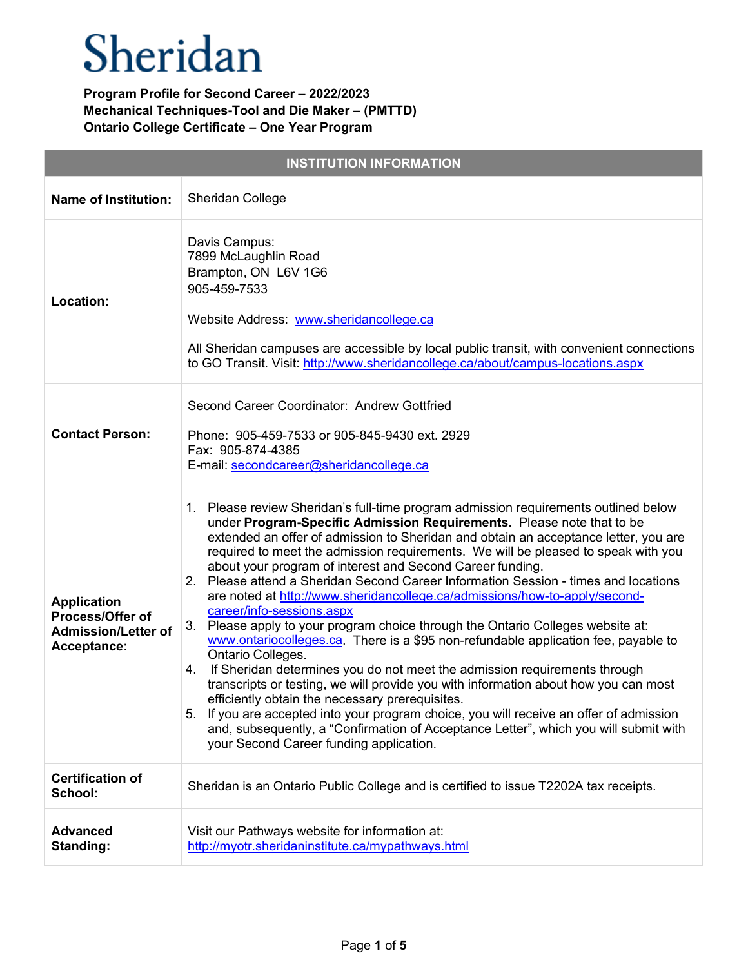| <b>INSTITUTION INFORMATION</b>                                                      |                                                                                                                                                                                                                                                                                                                                                                                                                                                                                                                                                                                                                                                                                                                                                                                                                                                                                                                                                                                                                                                                                                                                                                                                                                                                        |  |
|-------------------------------------------------------------------------------------|------------------------------------------------------------------------------------------------------------------------------------------------------------------------------------------------------------------------------------------------------------------------------------------------------------------------------------------------------------------------------------------------------------------------------------------------------------------------------------------------------------------------------------------------------------------------------------------------------------------------------------------------------------------------------------------------------------------------------------------------------------------------------------------------------------------------------------------------------------------------------------------------------------------------------------------------------------------------------------------------------------------------------------------------------------------------------------------------------------------------------------------------------------------------------------------------------------------------------------------------------------------------|--|
| <b>Name of Institution:</b>                                                         | <b>Sheridan College</b>                                                                                                                                                                                                                                                                                                                                                                                                                                                                                                                                                                                                                                                                                                                                                                                                                                                                                                                                                                                                                                                                                                                                                                                                                                                |  |
| Location:                                                                           | Davis Campus:<br>7899 McLaughlin Road<br>Brampton, ON L6V 1G6<br>905-459-7533<br>Website Address: www.sheridancollege.ca<br>All Sheridan campuses are accessible by local public transit, with convenient connections<br>to GO Transit. Visit: http://www.sheridancollege.ca/about/campus-locations.aspx                                                                                                                                                                                                                                                                                                                                                                                                                                                                                                                                                                                                                                                                                                                                                                                                                                                                                                                                                               |  |
| <b>Contact Person:</b>                                                              | Second Career Coordinator: Andrew Gottfried<br>Phone: 905-459-7533 or 905-845-9430 ext. 2929<br>Fax: 905-874-4385<br>E-mail: secondcareer@sheridancollege.ca                                                                                                                                                                                                                                                                                                                                                                                                                                                                                                                                                                                                                                                                                                                                                                                                                                                                                                                                                                                                                                                                                                           |  |
| <b>Application</b><br>Process/Offer of<br><b>Admission/Letter of</b><br>Acceptance: | 1. Please review Sheridan's full-time program admission requirements outlined below<br>under Program-Specific Admission Requirements. Please note that to be<br>extended an offer of admission to Sheridan and obtain an acceptance letter, you are<br>required to meet the admission requirements. We will be pleased to speak with you<br>about your program of interest and Second Career funding.<br>2. Please attend a Sheridan Second Career Information Session - times and locations<br>are noted at http://www.sheridancollege.ca/admissions/how-to-apply/second-<br>career/info-sessions.aspx<br>3.<br>Please apply to your program choice through the Ontario Colleges website at:<br>www.ontariocolleges.ca. There is a \$95 non-refundable application fee, payable to<br>Ontario Colleges.<br>If Sheridan determines you do not meet the admission requirements through<br>4.<br>transcripts or testing, we will provide you with information about how you can most<br>efficiently obtain the necessary prerequisites.<br>If you are accepted into your program choice, you will receive an offer of admission<br>5.<br>and, subsequently, a "Confirmation of Acceptance Letter", which you will submit with<br>your Second Career funding application. |  |
| <b>Certification of</b><br>School:                                                  | Sheridan is an Ontario Public College and is certified to issue T2202A tax receipts.                                                                                                                                                                                                                                                                                                                                                                                                                                                                                                                                                                                                                                                                                                                                                                                                                                                                                                                                                                                                                                                                                                                                                                                   |  |
| <b>Advanced</b><br><b>Standing:</b>                                                 | Visit our Pathways website for information at:<br>http://myotr.sheridaninstitute.ca/mypathways.html                                                                                                                                                                                                                                                                                                                                                                                                                                                                                                                                                                                                                                                                                                                                                                                                                                                                                                                                                                                                                                                                                                                                                                    |  |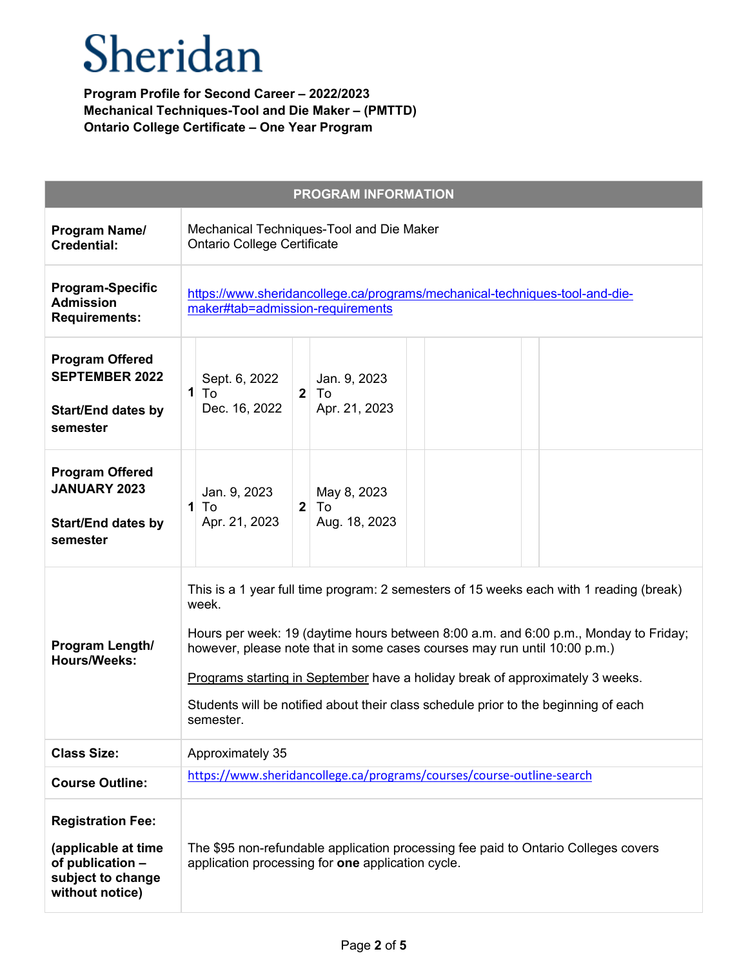| <b>PROGRAM INFORMATION</b>                                                                                  |                                                                                                                                                                                                                                                                                                                                                                                                                                                            |
|-------------------------------------------------------------------------------------------------------------|------------------------------------------------------------------------------------------------------------------------------------------------------------------------------------------------------------------------------------------------------------------------------------------------------------------------------------------------------------------------------------------------------------------------------------------------------------|
| Program Name/<br><b>Credential:</b>                                                                         | Mechanical Techniques-Tool and Die Maker<br><b>Ontario College Certificate</b>                                                                                                                                                                                                                                                                                                                                                                             |
| <b>Program-Specific</b><br><b>Admission</b><br><b>Requirements:</b>                                         | https://www.sheridancollege.ca/programs/mechanical-techniques-tool-and-die-<br>maker#tab=admission-requirements                                                                                                                                                                                                                                                                                                                                            |
| <b>Program Offered</b><br><b>SEPTEMBER 2022</b><br><b>Start/End dates by</b><br>semester                    | Sept. 6, 2022<br>Jan. 9, 2023<br>$\mathbf{1}$<br>$\overline{2}$<br>To<br>To<br>Dec. 16, 2022<br>Apr. 21, 2023                                                                                                                                                                                                                                                                                                                                              |
| <b>Program Offered</b><br><b>JANUARY 2023</b><br><b>Start/End dates by</b><br>semester                      | Jan. 9, 2023<br>May 8, 2023<br>$\overline{2}$<br>To<br>To<br>1<br>Aug. 18, 2023<br>Apr. 21, 2023                                                                                                                                                                                                                                                                                                                                                           |
| Program Length/<br><b>Hours/Weeks:</b>                                                                      | This is a 1 year full time program: 2 semesters of 15 weeks each with 1 reading (break)<br>week.<br>Hours per week: 19 (daytime hours between 8:00 a.m. and 6:00 p.m., Monday to Friday;<br>however, please note that in some cases courses may run until 10:00 p.m.)<br>Programs starting in September have a holiday break of approximately 3 weeks.<br>Students will be notified about their class schedule prior to the beginning of each<br>semester. |
| <b>Class Size:</b>                                                                                          | Approximately 35                                                                                                                                                                                                                                                                                                                                                                                                                                           |
| <b>Course Outline:</b>                                                                                      | https://www.sheridancollege.ca/programs/courses/course-outline-search                                                                                                                                                                                                                                                                                                                                                                                      |
| <b>Registration Fee:</b><br>(applicable at time<br>of publication -<br>subject to change<br>without notice) | The \$95 non-refundable application processing fee paid to Ontario Colleges covers<br>application processing for one application cycle.                                                                                                                                                                                                                                                                                                                    |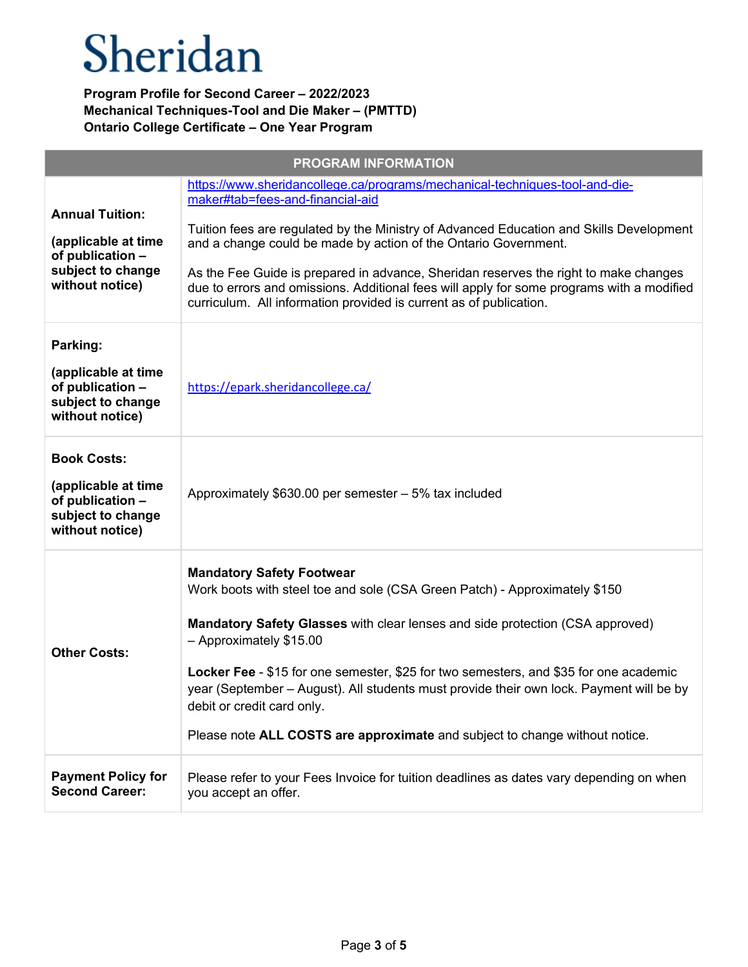| <b>PROGRAM INFORMATION</b>                                                                                |                                                                                                                                                                                                                                                                                                                                                                                                                                                                                                                                          |  |
|-----------------------------------------------------------------------------------------------------------|------------------------------------------------------------------------------------------------------------------------------------------------------------------------------------------------------------------------------------------------------------------------------------------------------------------------------------------------------------------------------------------------------------------------------------------------------------------------------------------------------------------------------------------|--|
| <b>Annual Tuition:</b><br>(applicable at time<br>of publication -<br>subject to change<br>without notice) | https://www.sheridancollege.ca/programs/mechanical-techniques-tool-and-die-<br>maker#tab=fees-and-financial-aid<br>Tuition fees are regulated by the Ministry of Advanced Education and Skills Development<br>and a change could be made by action of the Ontario Government.<br>As the Fee Guide is prepared in advance, Sheridan reserves the right to make changes<br>due to errors and omissions. Additional fees will apply for some programs with a modified<br>curriculum. All information provided is current as of publication. |  |
| Parking:<br>(applicable at time<br>of publication -<br>subject to change<br>without notice)               | https://epark.sheridancollege.ca/                                                                                                                                                                                                                                                                                                                                                                                                                                                                                                        |  |
| <b>Book Costs:</b><br>(applicable at time<br>of publication -<br>subject to change<br>without notice)     | Approximately \$630.00 per semester - 5% tax included                                                                                                                                                                                                                                                                                                                                                                                                                                                                                    |  |
| <b>Other Costs:</b>                                                                                       | <b>Mandatory Safety Footwear</b><br>Work boots with steel toe and sole (CSA Green Patch) - Approximately \$150<br><b>Mandatory Safety Glasses with clear lenses and side protection (CSA approved)</b><br>- Approximately \$15.00<br>Locker Fee - \$15 for one semester, \$25 for two semesters, and \$35 for one academic<br>year (September - August). All students must provide their own lock. Payment will be by<br>debit or credit card only.<br>Please note ALL COSTS are approximate and subject to change without notice.       |  |
| <b>Payment Policy for</b><br><b>Second Career:</b>                                                        | Please refer to your Fees Invoice for tuition deadlines as dates vary depending on when<br>you accept an offer.                                                                                                                                                                                                                                                                                                                                                                                                                          |  |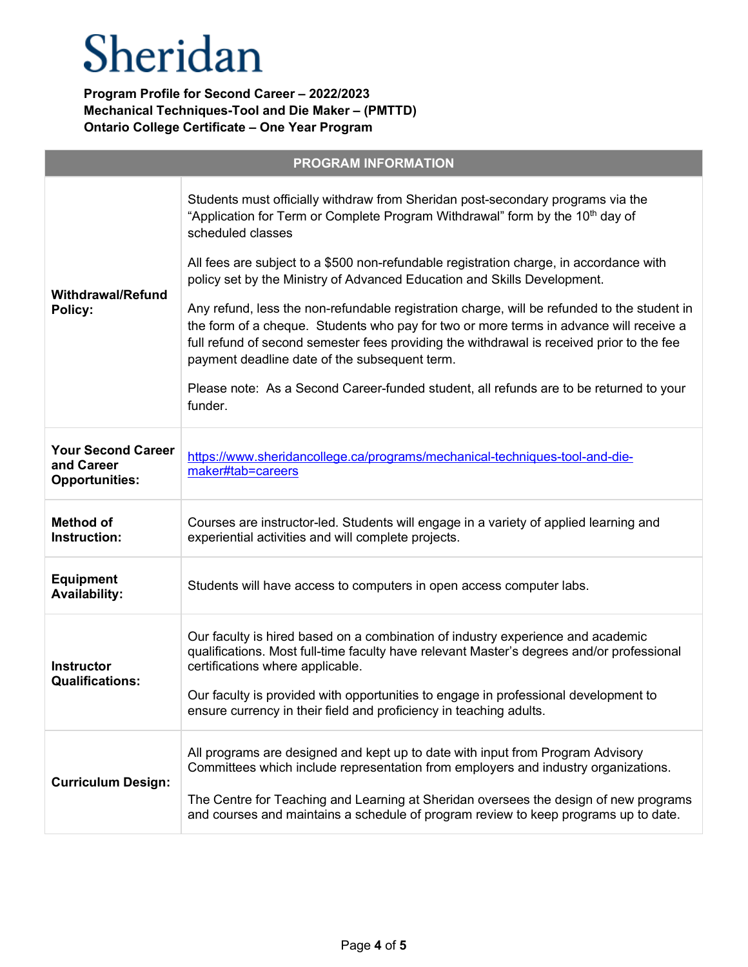| <b>PROGRAM INFORMATION</b>                                       |                                                                                                                                                                                                                                                                                                                                                                               |  |
|------------------------------------------------------------------|-------------------------------------------------------------------------------------------------------------------------------------------------------------------------------------------------------------------------------------------------------------------------------------------------------------------------------------------------------------------------------|--|
| <b>Withdrawal/Refund</b><br>Policy:                              | Students must officially withdraw from Sheridan post-secondary programs via the<br>"Application for Term or Complete Program Withdrawal" form by the 10 <sup>th</sup> day of<br>scheduled classes                                                                                                                                                                             |  |
|                                                                  | All fees are subject to a \$500 non-refundable registration charge, in accordance with<br>policy set by the Ministry of Advanced Education and Skills Development.                                                                                                                                                                                                            |  |
|                                                                  | Any refund, less the non-refundable registration charge, will be refunded to the student in<br>the form of a cheque. Students who pay for two or more terms in advance will receive a<br>full refund of second semester fees providing the withdrawal is received prior to the fee<br>payment deadline date of the subsequent term.                                           |  |
|                                                                  | Please note: As a Second Career-funded student, all refunds are to be returned to your<br>funder.                                                                                                                                                                                                                                                                             |  |
| <b>Your Second Career</b><br>and Career<br><b>Opportunities:</b> | https://www.sheridancollege.ca/programs/mechanical-techniques-tool-and-die-<br>maker#tab=careers                                                                                                                                                                                                                                                                              |  |
| <b>Method of</b><br>Instruction:                                 | Courses are instructor-led. Students will engage in a variety of applied learning and<br>experiential activities and will complete projects.                                                                                                                                                                                                                                  |  |
| <b>Equipment</b><br><b>Availability:</b>                         | Students will have access to computers in open access computer labs.                                                                                                                                                                                                                                                                                                          |  |
| <b>Instructor</b><br><b>Qualifications:</b>                      | Our faculty is hired based on a combination of industry experience and academic<br>qualifications. Most full-time faculty have relevant Master's degrees and/or professional<br>certifications where applicable.<br>Our faculty is provided with opportunities to engage in professional development to<br>ensure currency in their field and proficiency in teaching adults. |  |
|                                                                  |                                                                                                                                                                                                                                                                                                                                                                               |  |
| <b>Curriculum Design:</b>                                        | All programs are designed and kept up to date with input from Program Advisory<br>Committees which include representation from employers and industry organizations.<br>The Centre for Teaching and Learning at Sheridan oversees the design of new programs<br>and courses and maintains a schedule of program review to keep programs up to date.                           |  |
|                                                                  |                                                                                                                                                                                                                                                                                                                                                                               |  |